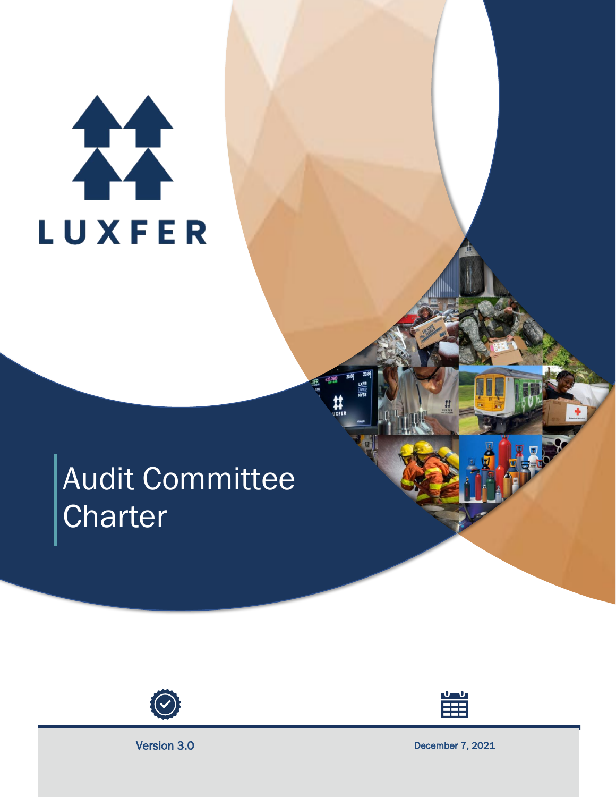# 27 LUXFER

# Audit Committee **Charter**





Version 3.0 December 7, 2021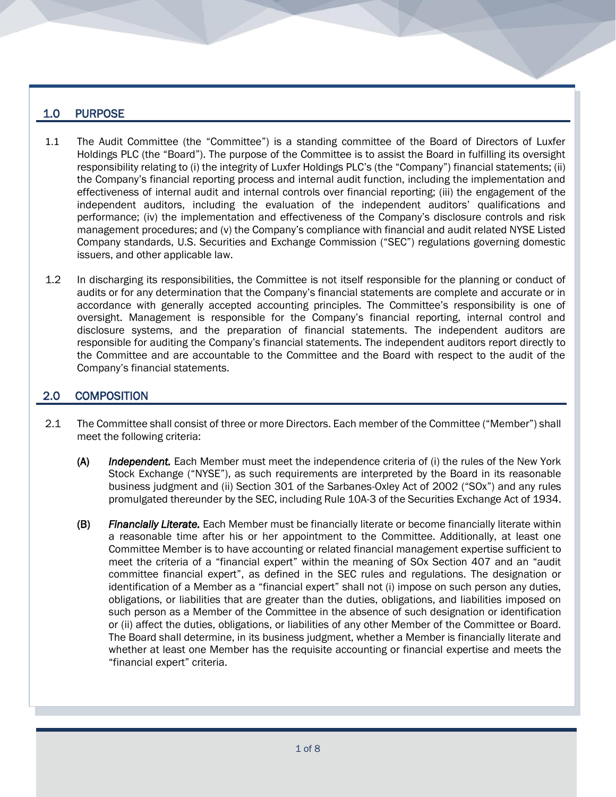### 1.0 PURPOSE

- 1.1 The Audit Committee (the "Committee") is a standing committee of the Board of Directors of Luxfer Holdings PLC (the "Board"). The purpose of the Committee is to assist the Board in fulfilling its oversight responsibility relating to (i) the integrity of Luxfer Holdings PLC's (the "Company") financial statements; (ii) the Company's financial reporting process and internal audit function, including the implementation and effectiveness of internal audit and internal controls over financial reporting; (iii) the engagement of the independent auditors, including the evaluation of the independent auditors' qualifications and performance; (iv) the implementation and effectiveness of the Company's disclosure controls and risk management procedures; and (v) the Company's compliance with financial and audit related NYSE Listed Company standards, U.S. Securities and Exchange Commission ("SEC") regulations governing domestic issuers, and other applicable law.
- 1.2 In discharging its responsibilities, the Committee is not itself responsible for the planning or conduct of audits or for any determination that the Company's financial statements are complete and accurate or in accordance with generally accepted accounting principles. The Committee's responsibility is one of oversight. Management is responsible for the Company's financial reporting, internal control and disclosure systems, and the preparation of financial statements. The independent auditors are responsible for auditing the Company's financial statements. The independent auditors report directly to the Committee and are accountable to the Committee and the Board with respect to the audit of the Company's financial statements.

# 2.0 COMPOSITION

- 2.1 The Committee shall consist of three or more Directors. Each member of the Committee ("Member") shall meet the following criteria:
	- (A) *Independent.* Each Member must meet the independence criteria of (i) the rules of the New York Stock Exchange ("NYSE"), as such requirements are interpreted by the Board in its reasonable business judgment and (ii) Section 301 of the Sarbanes-Oxley Act of 2002 ("SOx") and any rules promulgated thereunder by the SEC, including Rule 10A-3 of the Securities Exchange Act of 1934.
	- (B) *Financially Literate.* Each Member must be financially literate or become financially literate within a reasonable time after his or her appointment to the Committee. Additionally, at least one Committee Member is to have accounting or related financial management expertise sufficient to meet the criteria of a "financial expert" within the meaning of SOx Section 407 and an "audit committee financial expert", as defined in the SEC rules and regulations. The designation or identification of a Member as a "financial expert" shall not (i) impose on such person any duties, obligations, or liabilities that are greater than the duties, obligations, and liabilities imposed on such person as a Member of the Committee in the absence of such designation or identification or (ii) affect the duties, obligations, or liabilities of any other Member of the Committee or Board. The Board shall determine, in its business judgment, whether a Member is financially literate and whether at least one Member has the requisite accounting or financial expertise and meets the "financial expert" criteria.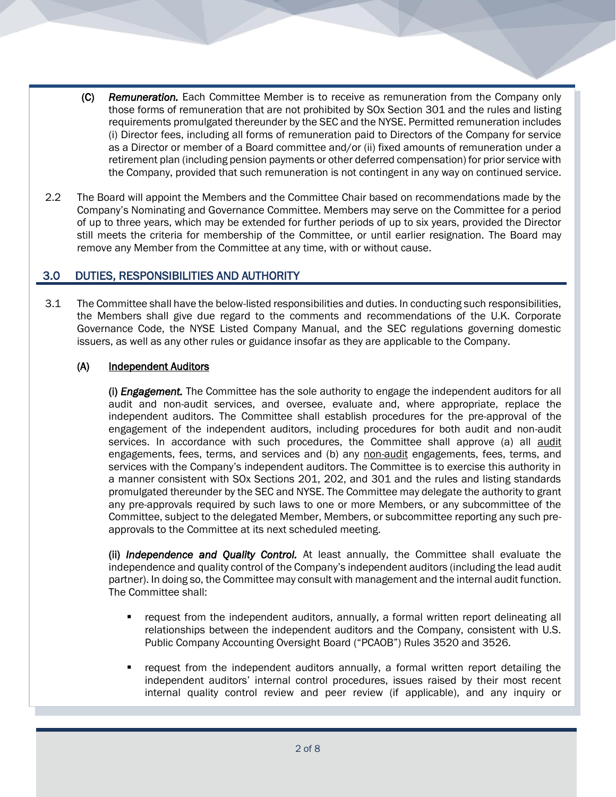- (C) *Remuneration.* Each Committee Member is to receive as remuneration from the Company only those forms of remuneration that are not prohibited by SOx Section 301 and the rules and listing requirements promulgated thereunder by the SEC and the NYSE. Permitted remuneration includes (i) Director fees, including all forms of remuneration paid to Directors of the Company for service as a Director or member of a Board committee and/or (ii) fixed amounts of remuneration under a retirement plan (including pension payments or other deferred compensation) for prior service with the Company, provided that such remuneration is not contingent in any way on continued service.
- 2.2 The Board will appoint the Members and the Committee Chair based on recommendations made by the Company's Nominating and Governance Committee. Members may serve on the Committee for a period of up to three years, which may be extended for further periods of up to six years, provided the Director still meets the criteria for membership of the Committee, or until earlier resignation. The Board may remove any Member from the Committee at any time, with or without cause.

# 3.0 DUTIES, RESPONSIBILITIES AND AUTHORITY

3.1 The Committee shall have the below-listed responsibilities and duties. In conducting such responsibilities, the Members shall give due regard to the comments and recommendations of the U.K. Corporate Governance Code, the NYSE Listed Company Manual, and the SEC regulations governing domestic issuers, as well as any other rules or guidance insofar as they are applicable to the Company.

#### (A) Independent Auditors

(i) *Engagement.* The Committee has the sole authority to engage the independent auditors for all audit and non-audit services, and oversee, evaluate and, where appropriate, replace the independent auditors. The Committee shall establish procedures for the pre-approval of the engagement of the independent auditors, including procedures for both audit and non-audit services. In accordance with such procedures, the Committee shall approve (a) all audit engagements, fees, terms, and services and (b) any non-audit engagements, fees, terms, and services with the Company's independent auditors. The Committee is to exercise this authority in a manner consistent with SOx Sections 201, 202, and 301 and the rules and listing standards promulgated thereunder by the SEC and NYSE. The Committee may delegate the authority to grant any pre-approvals required by such laws to one or more Members, or any subcommittee of the Committee, subject to the delegated Member, Members, or subcommittee reporting any such preapprovals to the Committee at its next scheduled meeting.

(ii) *Independence and Quality Control.* At least annually, the Committee shall evaluate the independence and quality control of the Company's independent auditors (including the lead audit partner). In doing so, the Committee may consult with management and the internal audit function. The Committee shall:

- request from the independent auditors, annually, a formal written report delineating all relationships between the independent auditors and the Company, consistent with U.S. Public Company Accounting Oversight Board ("PCAOB") Rules 3520 and 3526.
- request from the independent auditors annually, a formal written report detailing the independent auditors' internal control procedures, issues raised by their most recent internal quality control review and peer review (if applicable), and any inquiry or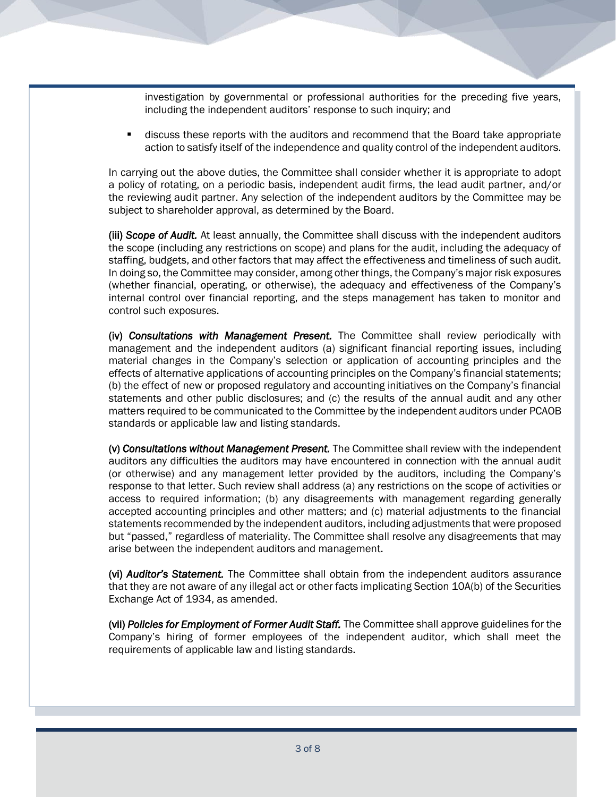investigation by governmental or professional authorities for the preceding five years, including the independent auditors' response to such inquiry; and

discuss these reports with the auditors and recommend that the Board take appropriate action to satisfy itself of the independence and quality control of the independent auditors.

In carrying out the above duties, the Committee shall consider whether it is appropriate to adopt a policy of rotating, on a periodic basis, independent audit firms, the lead audit partner, and/or the reviewing audit partner. Any selection of the independent auditors by the Committee may be subject to shareholder approval, as determined by the Board.

(iii) *Scope of Audit.* At least annually, the Committee shall discuss with the independent auditors the scope (including any restrictions on scope) and plans for the audit, including the adequacy of staffing, budgets, and other factors that may affect the effectiveness and timeliness of such audit. In doing so, the Committee may consider, among other things, the Company's major risk exposures (whether financial, operating, or otherwise), the adequacy and effectiveness of the Company's internal control over financial reporting, and the steps management has taken to monitor and control such exposures.

(iv) *Consultations with Management Present.* The Committee shall review periodically with management and the independent auditors (a) significant financial reporting issues, including material changes in the Company's selection or application of accounting principles and the effects of alternative applications of accounting principles on the Company's financial statements; (b) the effect of new or proposed regulatory and accounting initiatives on the Company's financial statements and other public disclosures; and (c) the results of the annual audit and any other matters required to be communicated to the Committee by the independent auditors under PCAOB standards or applicable law and listing standards.

(v) *Consultations without Management Present.* The Committee shall review with the independent auditors any difficulties the auditors may have encountered in connection with the annual audit (or otherwise) and any management letter provided by the auditors, including the Company's response to that letter. Such review shall address (a) any restrictions on the scope of activities or access to required information; (b) any disagreements with management regarding generally accepted accounting principles and other matters; and (c) material adjustments to the financial statements recommended by the independent auditors, including adjustments that were proposed but "passed," regardless of materiality. The Committee shall resolve any disagreements that may arise between the independent auditors and management.

(vi) *Auditor's Statement.* The Committee shall obtain from the independent auditors assurance that they are not aware of any illegal act or other facts implicating Section 10A(b) of the Securities Exchange Act of 1934, as amended.

(vii) *Policies for Employment of Former Audit Staff.* The Committee shall approve guidelines for the Company's hiring of former employees of the independent auditor, which shall meet the requirements of applicable law and listing standards.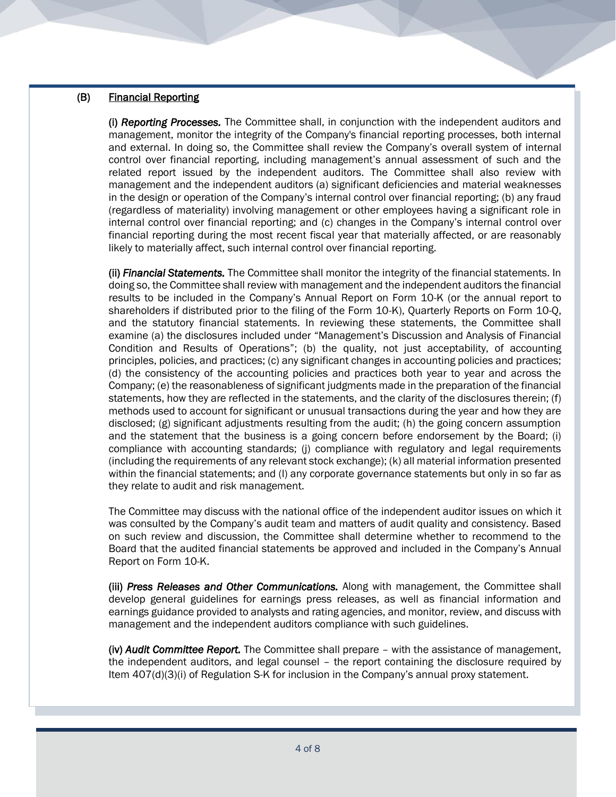#### (B) Financial Reporting

(i) *Reporting Processes.* The Committee shall, in conjunction with the independent auditors and management, monitor the integrity of the Company's financial reporting processes, both internal and external. In doing so, the Committee shall review the Company's overall system of internal control over financial reporting, including management's annual assessment of such and the related report issued by the independent auditors. The Committee shall also review with management and the independent auditors (a) significant deficiencies and material weaknesses in the design or operation of the Company's internal control over financial reporting; (b) any fraud (regardless of materiality) involving management or other employees having a significant role in internal control over financial reporting; and (c) changes in the Company's internal control over financial reporting during the most recent fiscal year that materially affected, or are reasonably likely to materially affect, such internal control over financial reporting.

(ii) *Financial Statements.* The Committee shall monitor the integrity of the financial statements. In doing so, the Committee shall review with management and the independent auditors the financial results to be included in the Company's Annual Report on Form 10-K (or the annual report to shareholders if distributed prior to the filing of the Form 10-K), Quarterly Reports on Form 10-Q, and the statutory financial statements. In reviewing these statements, the Committee shall examine (a) the disclosures included under "Management's Discussion and Analysis of Financial Condition and Results of Operations"; (b) the quality, not just acceptability, of accounting principles, policies, and practices; (c) any significant changes in accounting policies and practices; (d) the consistency of the accounting policies and practices both year to year and across the Company; (e) the reasonableness of significant judgments made in the preparation of the financial statements, how they are reflected in the statements, and the clarity of the disclosures therein; (f) methods used to account for significant or unusual transactions during the year and how they are disclosed; (g) significant adjustments resulting from the audit; (h) the going concern assumption and the statement that the business is a going concern before endorsement by the Board; (i) compliance with accounting standards; (j) compliance with regulatory and legal requirements (including the requirements of any relevant stock exchange); (k) all material information presented within the financial statements; and (l) any corporate governance statements but only in so far as they relate to audit and risk management.

The Committee may discuss with the national office of the independent auditor issues on which it was consulted by the Company's audit team and matters of audit quality and consistency. Based on such review and discussion, the Committee shall determine whether to recommend to the Board that the audited financial statements be approved and included in the Company's Annual Report on Form 10-K.

(iii) *Press Releases and Other Communications.* Along with management, the Committee shall develop general guidelines for earnings press releases, as well as financial information and earnings guidance provided to analysts and rating agencies, and monitor, review, and discuss with management and the independent auditors compliance with such guidelines.

(iv) *Audit Committee Report.* The Committee shall prepare – with the assistance of management, the independent auditors, and legal counsel – the report containing the disclosure required by Item 407(d)(3)(i) of Regulation S-K for inclusion in the Company's annual proxy statement.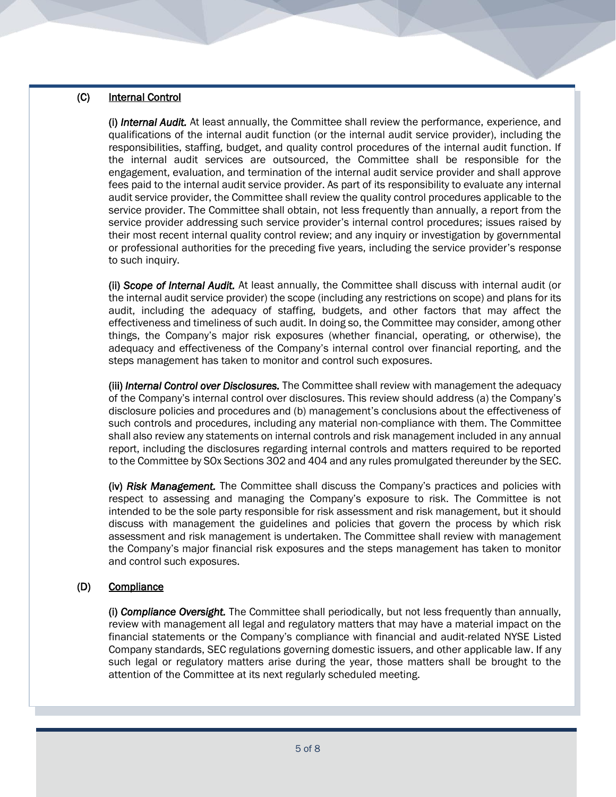#### (C) Internal Control

(i) *Internal Audit.* At least annually, the Committee shall review the performance, experience, and qualifications of the internal audit function (or the internal audit service provider), including the responsibilities, staffing, budget, and quality control procedures of the internal audit function. If the internal audit services are outsourced, the Committee shall be responsible for the engagement, evaluation, and termination of the internal audit service provider and shall approve fees paid to the internal audit service provider. As part of its responsibility to evaluate any internal audit service provider, the Committee shall review the quality control procedures applicable to the service provider. The Committee shall obtain, not less frequently than annually, a report from the service provider addressing such service provider's internal control procedures; issues raised by their most recent internal quality control review; and any inquiry or investigation by governmental or professional authorities for the preceding five years, including the service provider's response to such inquiry.

(ii) *Scope of Internal Audit.* At least annually, the Committee shall discuss with internal audit (or the internal audit service provider) the scope (including any restrictions on scope) and plans for its audit, including the adequacy of staffing, budgets, and other factors that may affect the effectiveness and timeliness of such audit. In doing so, the Committee may consider, among other things, the Company's major risk exposures (whether financial, operating, or otherwise), the adequacy and effectiveness of the Company's internal control over financial reporting, and the steps management has taken to monitor and control such exposures.

(iii) *Internal Control over Disclosures.* The Committee shall review with management the adequacy of the Company's internal control over disclosures. This review should address (a) the Company's disclosure policies and procedures and (b) management's conclusions about the effectiveness of such controls and procedures, including any material non-compliance with them. The Committee shall also review any statements on internal controls and risk management included in any annual report, including the disclosures regarding internal controls and matters required to be reported to the Committee by SOx Sections 302 and 404 and any rules promulgated thereunder by the SEC.

(iv) *Risk Management.* The Committee shall discuss the Company's practices and policies with respect to assessing and managing the Company's exposure to risk. The Committee is not intended to be the sole party responsible for risk assessment and risk management, but it should discuss with management the guidelines and policies that govern the process by which risk assessment and risk management is undertaken. The Committee shall review with management the Company's major financial risk exposures and the steps management has taken to monitor and control such exposures.

#### (D) Compliance

(i) *Compliance Oversight.* The Committee shall periodically, but not less frequently than annually, review with management all legal and regulatory matters that may have a material impact on the financial statements or the Company's compliance with financial and audit-related NYSE Listed Company standards, SEC regulations governing domestic issuers, and other applicable law. If any such legal or regulatory matters arise during the year, those matters shall be brought to the attention of the Committee at its next regularly scheduled meeting.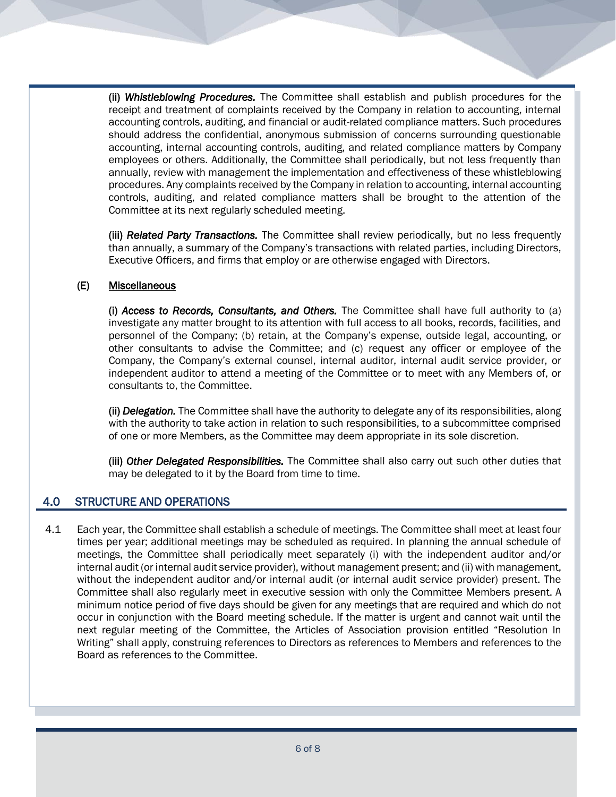(ii) *Whistleblowing Procedures.* The Committee shall establish and publish procedures for the receipt and treatment of complaints received by the Company in relation to accounting, internal accounting controls, auditing, and financial or audit-related compliance matters. Such procedures should address the confidential, anonymous submission of concerns surrounding questionable accounting, internal accounting controls, auditing, and related compliance matters by Company employees or others. Additionally, the Committee shall periodically, but not less frequently than annually, review with management the implementation and effectiveness of these whistleblowing procedures. Any complaints received by the Company in relation to accounting, internal accounting controls, auditing, and related compliance matters shall be brought to the attention of the Committee at its next regularly scheduled meeting.

(iii) *Related Party Transactions.* The Committee shall review periodically, but no less frequently than annually, a summary of the Company's transactions with related parties, including Directors, Executive Officers, and firms that employ or are otherwise engaged with Directors.

#### (E) Miscellaneous

(i) *Access to Records, Consultants, and Others.* The Committee shall have full authority to (a) investigate any matter brought to its attention with full access to all books, records, facilities, and personnel of the Company; (b) retain, at the Company's expense, outside legal, accounting, or other consultants to advise the Committee; and (c) request any officer or employee of the Company, the Company's external counsel, internal auditor, internal audit service provider, or independent auditor to attend a meeting of the Committee or to meet with any Members of, or consultants to, the Committee.

(ii) *Delegation.* The Committee shall have the authority to delegate any of its responsibilities, along with the authority to take action in relation to such responsibilities, to a subcommittee comprised of one or more Members, as the Committee may deem appropriate in its sole discretion.

(iii) *Other Delegated Responsibilities.* The Committee shall also carry out such other duties that may be delegated to it by the Board from time to time.

# 4.0 STRUCTURE AND OPERATIONS

4.1 Each year, the Committee shall establish a schedule of meetings. The Committee shall meet at least four times per year; additional meetings may be scheduled as required. In planning the annual schedule of meetings, the Committee shall periodically meet separately (i) with the independent auditor and/or internal audit (or internal audit service provider), without management present; and (ii) with management, without the independent auditor and/or internal audit (or internal audit service provider) present. The Committee shall also regularly meet in executive session with only the Committee Members present. A minimum notice period of five days should be given for any meetings that are required and which do not occur in conjunction with the Board meeting schedule. If the matter is urgent and cannot wait until the next regular meeting of the Committee, the Articles of Association provision entitled "Resolution In Writing" shall apply, construing references to Directors as references to Members and references to the Board as references to the Committee.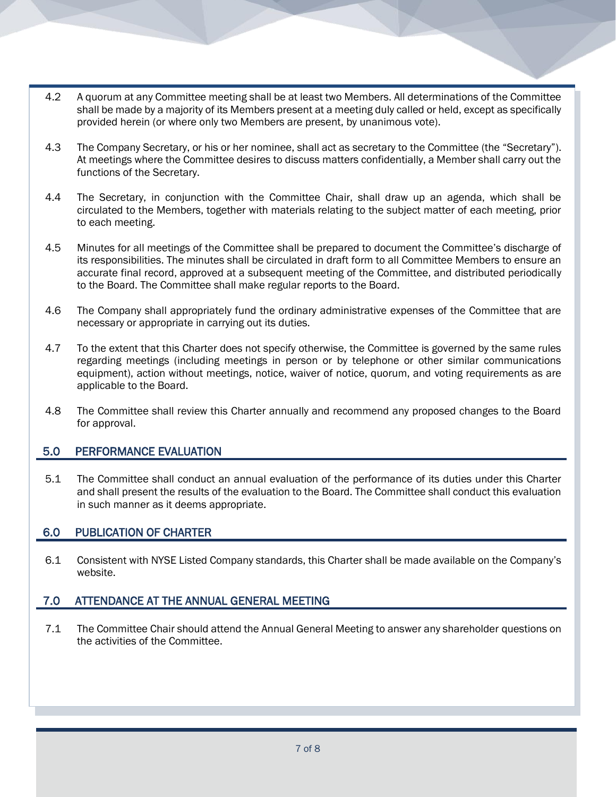- 4.2 A quorum at any Committee meeting shall be at least two Members. All determinations of the Committee shall be made by a majority of its Members present at a meeting duly called or held, except as specifically provided herein (or where only two Members are present, by unanimous vote).
- 4.3 The Company Secretary, or his or her nominee, shall act as secretary to the Committee (the "Secretary"). At meetings where the Committee desires to discuss matters confidentially, a Member shall carry out the functions of the Secretary.
- 4.4 The Secretary, in conjunction with the Committee Chair, shall draw up an agenda, which shall be circulated to the Members, together with materials relating to the subject matter of each meeting, prior to each meeting.
- 4.5 Minutes for all meetings of the Committee shall be prepared to document the Committee's discharge of its responsibilities. The minutes shall be circulated in draft form to all Committee Members to ensure an accurate final record, approved at a subsequent meeting of the Committee, and distributed periodically to the Board. The Committee shall make regular reports to the Board.
- 4.6 The Company shall appropriately fund the ordinary administrative expenses of the Committee that are necessary or appropriate in carrying out its duties.
- 4.7 To the extent that this Charter does not specify otherwise, the Committee is governed by the same rules regarding meetings (including meetings in person or by telephone or other similar communications equipment), action without meetings, notice, waiver of notice, quorum, and voting requirements as are applicable to the Board.
- 4.8 The Committee shall review this Charter annually and recommend any proposed changes to the Board for approval.

# 5.0 PERFORMANCE EVALUATION

5.1 The Committee shall conduct an annual evaluation of the performance of its duties under this Charter and shall present the results of the evaluation to the Board. The Committee shall conduct this evaluation in such manner as it deems appropriate.

# 6.0 PUBLICATION OF CHARTER

6.1 Consistent with NYSE Listed Company standards, this Charter shall be made available on the Company's website.

#### 7.0 ATTENDANCE AT THE ANNUAL GENERAL MEETING

7.1 The Committee Chair should attend the Annual General Meeting to answer any shareholder questions on the activities of the Committee.